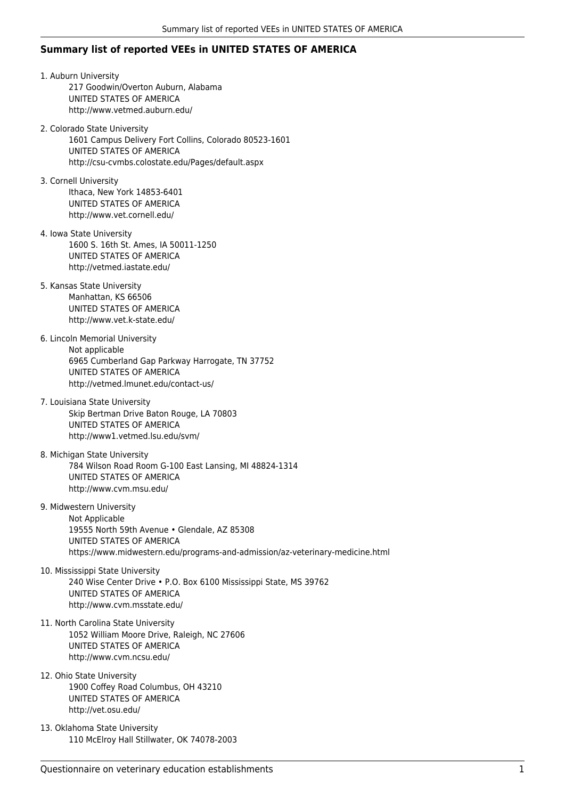## **Summary list of reported VEEs in UNITED STATES OF AMERICA**

1. Auburn University 217 Goodwin/Overton Auburn, Alabama UNITED STATES OF AMERICA http://www.vetmed.auburn.edu/ 2. Colorado State University 1601 Campus Delivery Fort Collins, Colorado 80523-1601 UNITED STATES OF AMERICA http://csu-cvmbs.colostate.edu/Pages/default.aspx 3. Cornell University Ithaca, New York 14853-6401 UNITED STATES OF AMERICA http://www.vet.cornell.edu/ 4. Iowa State University 1600 S. 16th St. Ames, IA 50011-1250 UNITED STATES OF AMERICA http://vetmed.iastate.edu/ 5. Kansas State University Manhattan, KS 66506 UNITED STATES OF AMERICA http://www.vet.k-state.edu/ 6. Lincoln Memorial University Not applicable 6965 Cumberland Gap Parkway Harrogate, TN 37752 UNITED STATES OF AMERICA http://vetmed.lmunet.edu/contact-us/ 7. Louisiana State University Skip Bertman Drive Baton Rouge, LA 70803 UNITED STATES OF AMERICA http://www1.vetmed.lsu.edu/svm/ 8. Michigan State University 784 Wilson Road Room G-100 East Lansing, MI 48824-1314 UNITED STATES OF AMERICA http://www.cvm.msu.edu/ 9. Midwestern University Not Applicable 19555 North 59th Avenue • Glendale, AZ 85308 UNITED STATES OF AMERICA https://www.midwestern.edu/programs-and-admission/az-veterinary-medicine.html 10. Mississippi State University 240 Wise Center Drive • P.O. Box 6100 Mississippi State, MS 39762 UNITED STATES OF AMERICA http://www.cvm.msstate.edu/ 11. North Carolina State University 1052 William Moore Drive, Raleigh, NC 27606 UNITED STATES OF AMERICA http://www.cvm.ncsu.edu/ 12. Ohio State University 1900 Coffey Road Columbus, OH 43210 UNITED STATES OF AMERICA http://vet.osu.edu/

13. Oklahoma State University 110 McElroy Hall Stillwater, OK 74078-2003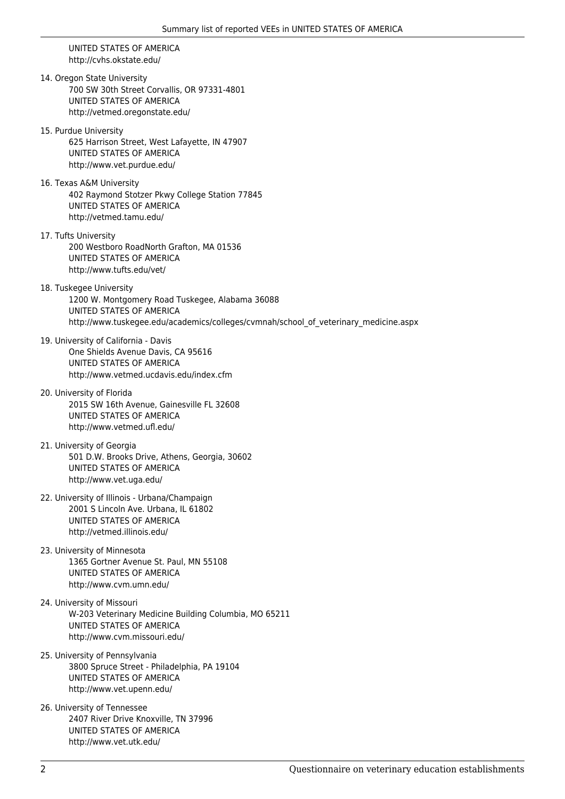UNITED STATES OF AMERICA http://cvhs.okstate.edu/

14. Oregon State University 700 SW 30th Street Corvallis, OR 97331-4801 UNITED STATES OF AMERICA http://vetmed.oregonstate.edu/

- 15. Purdue University 625 Harrison Street, West Lafayette, IN 47907 UNITED STATES OF AMERICA http://www.vet.purdue.edu/
- 16. Texas A&M University 402 Raymond Stotzer Pkwy College Station 77845 UNITED STATES OF AMERICA http://vetmed.tamu.edu/
- 17. Tufts University 200 Westboro RoadNorth Grafton, MA 01536 UNITED STATES OF AMERICA http://www.tufts.edu/vet/
- 18. Tuskegee University 1200 W. Montgomery Road Tuskegee, Alabama 36088 UNITED STATES OF AMERICA http://www.tuskegee.edu/academics/colleges/cvmnah/school\_of\_veterinary\_medicine.aspx
- 19. University of California Davis One Shields Avenue Davis, CA 95616 UNITED STATES OF AMERICA http://www.vetmed.ucdavis.edu/index.cfm
- 20. University of Florida 2015 SW 16th Avenue, Gainesville FL 32608 UNITED STATES OF AMERICA http://www.vetmed.ufl.edu/
- 21. University of Georgia 501 D.W. Brooks Drive, Athens, Georgia, 30602 UNITED STATES OF AMERICA http://www.vet.uga.edu/
- 22. University of Illinois Urbana/Champaign 2001 S Lincoln Ave. Urbana, IL 61802 UNITED STATES OF AMERICA http://vetmed.illinois.edu/
- 23. University of Minnesota 1365 Gortner Avenue St. Paul, MN 55108 UNITED STATES OF AMERICA http://www.cvm.umn.edu/
- 24. University of Missouri W-203 Veterinary Medicine Building Columbia, MO 65211 UNITED STATES OF AMERICA http://www.cvm.missouri.edu/
- 25. University of Pennsylvania 3800 Spruce Street - Philadelphia, PA 19104 UNITED STATES OF AMERICA http://www.vet.upenn.edu/
- 26. University of Tennessee 2407 River Drive Knoxville, TN 37996 UNITED STATES OF AMERICA http://www.vet.utk.edu/